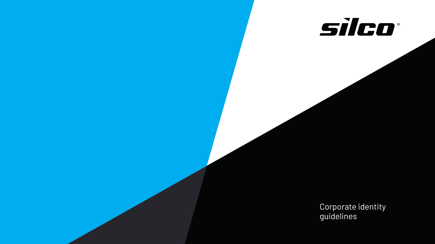



Corporate identity guidelines

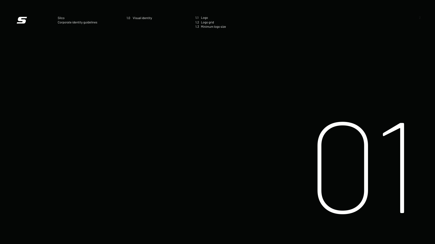1.1 Logo 1.2 Logo grid 1.3 Minimum logo size



Silco 1.0 Visual identity Corporate identity guidelines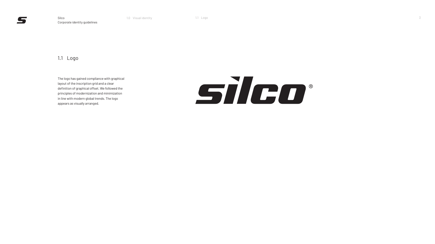The logo has gained compliance with graphical layout of the inscription grid and a clear definition of graphical offset. We followed the principles of modernization and minimization in line with modern global trends. The logo appears as visually arranged.

# STED®

#### 1.1 Logo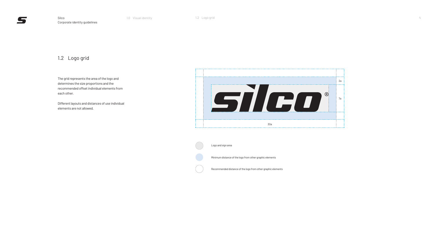The grid represents the area of the logo and determines the size proportions and the recommended offset individual elements from each other.

Different layouts and distances of use individual elements are not allowed.

#### 1.2 Logo grid



Logo and sign area

Minimum distance of the logo from other graphic elements

Recommended distance of the logo from other graphic elements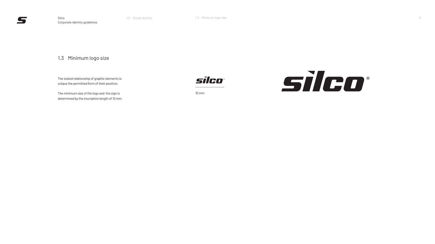The stated relationship of graphic elements is unique the permitted form of their position.

The minimum size of the logo and the sign is determined by the inscription length of 10 mm.



## 1.3 Minimum logo size

1.3 Minimum logo size





10 mm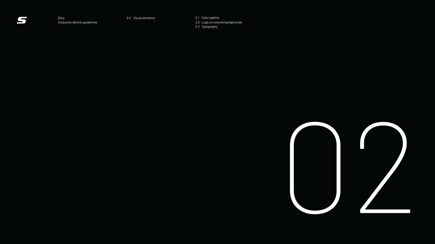2.1 Color palette 2.2 Logo on colored backgrounds 2.3 Typography Silco 2.0 Visual elements 6



Corporate identity guidelines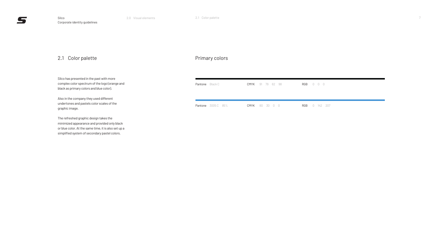Silco has presented in the past with more complex color spectrum of the logo (orange and black as primary colors and blue color).

Also in the company they used different undertones and pastels color scales of the graphic image.

The refreshed graphic design takes the minimized appearance and provided only black or blue color. At the same time, it is also set up a simplified system of secondary pastel colors.

Pantor

Pantor

#### Primary colors

| Pantone Black C | <b>CMYK</b> 91 79 62 98 |  |  | RGB 0 0 0            |  |  |
|-----------------|-------------------------|--|--|----------------------|--|--|
|                 | <b>CMYK</b> 80 30 0 0   |  |  | <b>RGB</b> 0 142 207 |  |  |

#### 2.1 Color palette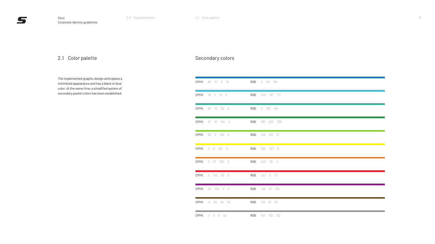The implemented graphic design anticipates a minimized appearance and has a black or blue color. At the same time, a simplified system of secondary pastel colors has been established. The secondary pastel colors has been established.

## Secondary colors

| CMYK | 95 27 0 15            | RGB | 0 121 183   |
|------|-----------------------|-----|-------------|
| CMYK | 76 4 13 0             | RGB | 249 197 177 |
| CMYK | 80 10 50 0            | RGB | 0 160 146   |
| CMYK | 87 18 100 4           | RGB | 189 203 236 |
| CMYK | 50 0 100 0            | RGB | 149 193 31  |
|      | <b>CMYK</b> 0 0 100 0 | RGB | 255 237 0   |
| CMYK | $0$ 57 100 0          | RGB | 240 131 0   |
| CMYK | $0$ 100 95 0          | RGB | 227 5 27    |
| CMYK | 50 100 0 0            | RGB | 149 27 129  |
| CMYK | 41 62 98 36           | RGB | 123 81 26   |
| CMYK | $0 \t 0 \t 0 \t 52$   | RGB | 153 153 152 |

## 2.1 Color palette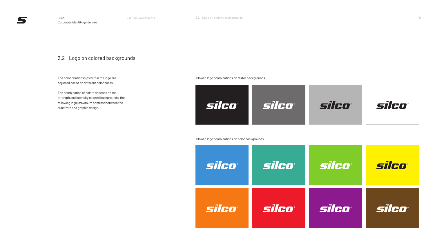The color relationships within the logo are adjusted based on different color bases.

The combination of colors depends on the strength and intensity colored backgrounds, the following logic maximum contrast between the substrate and graphic design.



Allowed logo combinations on raster backgrounds

Allowed logo combinations on color backgrounds



## 2.2 Logo on colored backgrounds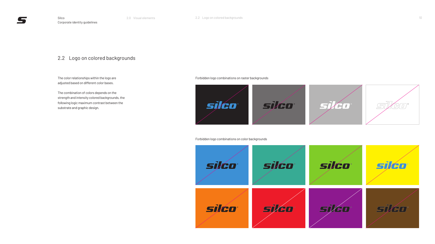## 2.2 Logo on colored backgrounds

The color relationships within the logo are adjusted based on different color bases.

The combination of colors depends on the strength and intensity colored backgrounds, the following logic maximum contrast between the substrate and graphic design.





Forbidden logo combinations on raster backgrounds

Forbidden logo combinations on color backgrounds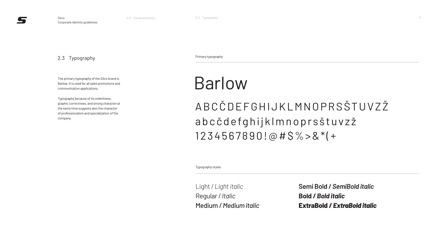The primary typography of the Silco brand is Barlow. It is used for all sales promotions and communication applications.

Typography because of its orderliness, graphic correctness, and strong character at the same time suggests also the character of professionalism and specialization of the company.

#### 2.3 Typography

Light / *Light italic* Regular / *Italic* Medium / *Medium italic*

# ABCČDEFGHIJKLMNOPRSŠTUVZŽ abcčdefghijklmnoprsštuvzž 1234567890!@#\$%>&\*(+ Barlow

**Semi Bold /** *SemiBold italic* **Bold /** *Bold italic* **ExtraBold /** *ExtraBold italic*



Primary typography

Typography styles